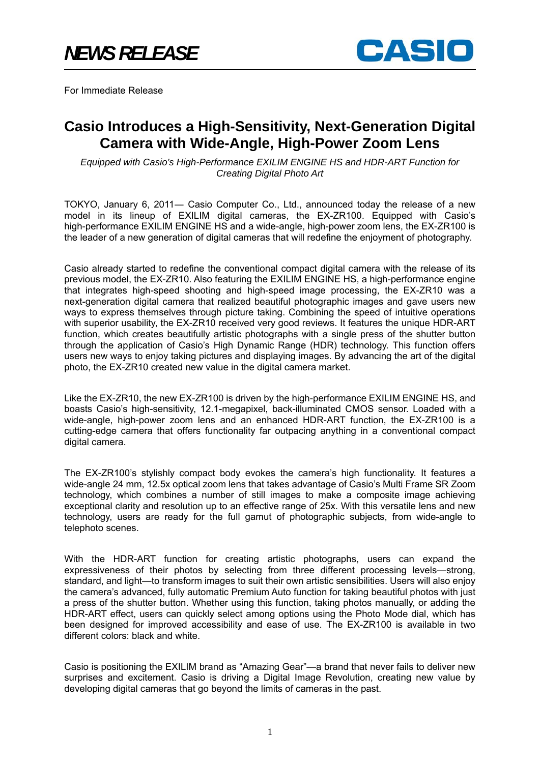

For Immediate Release

# **Casio Introduces a High-Sensitivity, Next-Generation Digital Camera with Wide-Angle, High-Power Zoom Lens**

*Equipped with Casio's High-Performance EXILIM ENGINE HS and HDR-ART Function for Creating Digital Photo Art* 

TOKYO, January 6, 2011― Casio Computer Co., Ltd., announced today the release of a new model in its lineup of EXILIM digital cameras, the EX-ZR100. Equipped with Casio's high-performance EXILIM ENGINE HS and a wide-angle, high-power zoom lens, the EX-ZR100 is the leader of a new generation of digital cameras that will redefine the enjoyment of photography.

Casio already started to redefine the conventional compact digital camera with the release of its previous model, the EX-ZR10. Also featuring the EXILIM ENGINE HS, a high-performance engine that integrates high-speed shooting and high-speed image processing, the EX-ZR10 was a next-generation digital camera that realized beautiful photographic images and gave users new ways to express themselves through picture taking. Combining the speed of intuitive operations with superior usability, the EX-ZR10 received very good reviews. It features the unique HDR-ART function, which creates beautifully artistic photographs with a single press of the shutter button through the application of Casio's High Dynamic Range (HDR) technology. This function offers users new ways to enjoy taking pictures and displaying images. By advancing the art of the digital photo, the EX-ZR10 created new value in the digital camera market.

Like the EX-ZR10, the new EX-ZR100 is driven by the high-performance EXILIM ENGINE HS, and boasts Casio's high-sensitivity, 12.1-megapixel, back-illuminated CMOS sensor. Loaded with a wide-angle, high-power zoom lens and an enhanced HDR-ART function, the EX-ZR100 is a cutting-edge camera that offers functionality far outpacing anything in a conventional compact digital camera.

The EX-ZR100's stylishly compact body evokes the camera's high functionality. It features a wide-angle 24 mm, 12.5x optical zoom lens that takes advantage of Casio's Multi Frame SR Zoom technology, which combines a number of still images to make a composite image achieving exceptional clarity and resolution up to an effective range of 25x. With this versatile lens and new technology, users are ready for the full gamut of photographic subjects, from wide-angle to telephoto scenes.

With the HDR-ART function for creating artistic photographs, users can expand the expressiveness of their photos by selecting from three different processing levels—strong, standard, and light—to transform images to suit their own artistic sensibilities. Users will also enjoy the camera's advanced, fully automatic Premium Auto function for taking beautiful photos with just a press of the shutter button. Whether using this function, taking photos manually, or adding the HDR-ART effect, users can quickly select among options using the Photo Mode dial, which has been designed for improved accessibility and ease of use. The EX-ZR100 is available in two different colors: black and white.

Casio is positioning the EXILIM brand as "Amazing Gear"—a brand that never fails to deliver new surprises and excitement. Casio is driving a Digital Image Revolution, creating new value by developing digital cameras that go beyond the limits of cameras in the past.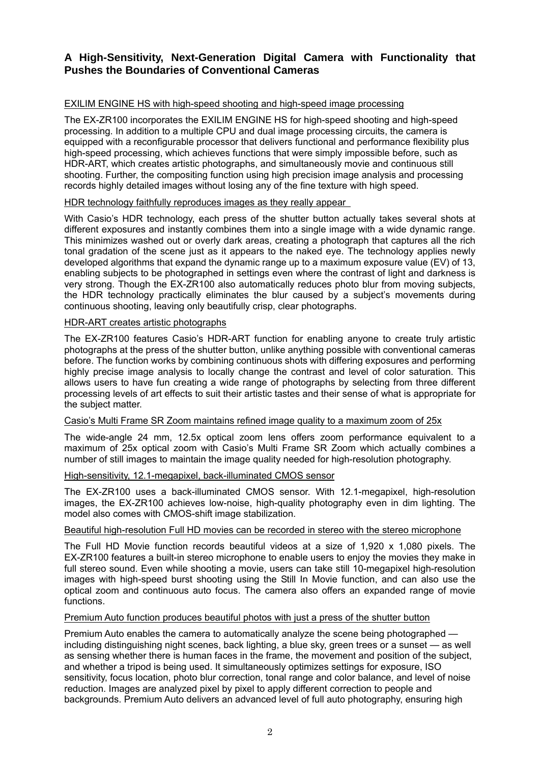# **A High-Sensitivity, Next-Generation Digital Camera with Functionality that Pushes the Boundaries of Conventional Cameras**

## EXILIM ENGINE HS with high-speed shooting and high-speed image processing

The EX-ZR100 incorporates the EXILIM ENGINE HS for high-speed shooting and high-speed processing. In addition to a multiple CPU and dual image processing circuits, the camera is equipped with a reconfigurable processor that delivers functional and performance flexibility plus high-speed processing, which achieves functions that were simply impossible before, such as HDR-ART, which creates artistic photographs, and simultaneously movie and continuous still shooting. Further, the compositing function using high precision image analysis and processing records highly detailed images without losing any of the fine texture with high speed.

## HDR technology faithfully reproduces images as they really appear

With Casio's HDR technology, each press of the shutter button actually takes several shots at different exposures and instantly combines them into a single image with a wide dynamic range. This minimizes washed out or overly dark areas, creating a photograph that captures all the rich tonal gradation of the scene just as it appears to the naked eye. The technology applies newly developed algorithms that expand the dynamic range up to a maximum exposure value (EV) of 13, enabling subjects to be photographed in settings even where the contrast of light and darkness is very strong. Though the EX-ZR100 also automatically reduces photo blur from moving subjects, the HDR technology practically eliminates the blur caused by a subject's movements during continuous shooting, leaving only beautifully crisp, clear photographs.

## HDR-ART creates artistic photographs

The EX-ZR100 features Casio's HDR-ART function for enabling anyone to create truly artistic photographs at the press of the shutter button, unlike anything possible with conventional cameras before. The function works by combining continuous shots with differing exposures and performing highly precise image analysis to locally change the contrast and level of color saturation. This allows users to have fun creating a wide range of photographs by selecting from three different processing levels of art effects to suit their artistic tastes and their sense of what is appropriate for the subject matter.

## Casio's Multi Frame SR Zoom maintains refined image quality to a maximum zoom of 25x

The wide-angle 24 mm, 12.5x optical zoom lens offers zoom performance equivalent to a maximum of 25x optical zoom with Casio's Multi Frame SR Zoom which actually combines a number of still images to maintain the image quality needed for high-resolution photography.

# High-sensitivity, 12.1-megapixel, back-illuminated CMOS sensor

The EX-ZR100 uses a back-illuminated CMOS sensor. With 12.1-megapixel, high-resolution images, the EX-ZR100 achieves low-noise, high-quality photography even in dim lighting. The model also comes with CMOS-shift image stabilization.

## Beautiful high-resolution Full HD movies can be recorded in stereo with the stereo microphone

The Full HD Movie function records beautiful videos at a size of 1,920 x 1,080 pixels. The EX-ZR100 features a built-in stereo microphone to enable users to enjoy the movies they make in full stereo sound. Even while shooting a movie, users can take still 10-megapixel high-resolution images with high-speed burst shooting using the Still In Movie function, and can also use the optical zoom and continuous auto focus. The camera also offers an expanded range of movie functions.

## Premium Auto function produces beautiful photos with just a press of the shutter button

Premium Auto enables the camera to automatically analyze the scene being photographed including distinguishing night scenes, back lighting, a blue sky, green trees or a sunset — as well as sensing whether there is human faces in the frame, the movement and position of the subject, and whether a tripod is being used. It simultaneously optimizes settings for exposure, ISO sensitivity, focus location, photo blur correction, tonal range and color balance, and level of noise reduction. Images are analyzed pixel by pixel to apply different correction to people and backgrounds. Premium Auto delivers an advanced level of full auto photography, ensuring high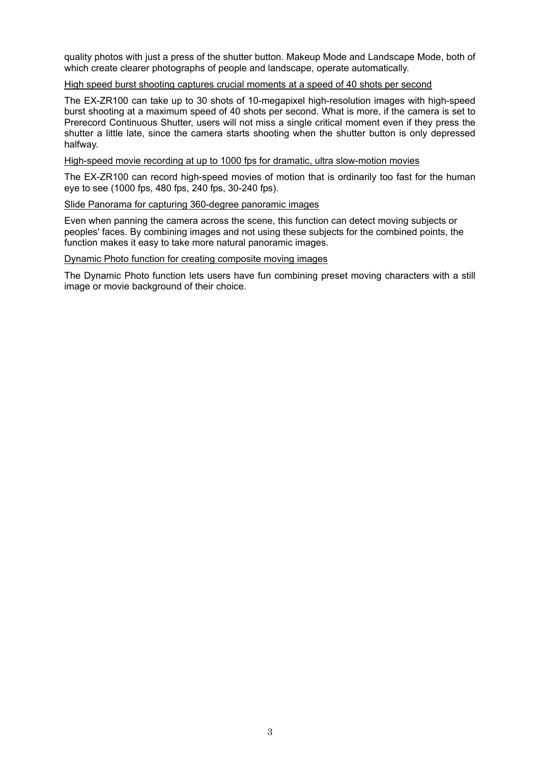quality photos with just a press of the shutter button. Makeup Mode and Landscape Mode, both of which create clearer photographs of people and landscape, operate automatically.

#### High speed burst shooting captures crucial moments at a speed of 40 shots per second

The EX-ZR100 can take up to 30 shots of 10-megapixel high-resolution images with high-speed burst shooting at a maximum speed of 40 shots per second. What is more, if the camera is set to Prerecord Continuous Shutter, users will not miss a single critical moment even if they press the shutter a little late, since the camera starts shooting when the shutter button is only depressed halfway.

#### High-speed movie recording at up to 1000 fps for dramatic, ultra slow-motion movies

The EX-ZR100 can record high-speed movies of motion that is ordinarily too fast for the human eye to see (1000 fps, 480 fps, 240 fps, 30-240 fps).

#### Slide Panorama for capturing 360-degree panoramic images

Even when panning the camera across the scene, this function can detect moving subjects or peoples' faces. By combining images and not using these subjects for the combined points, the function makes it easy to take more natural panoramic images.

#### Dynamic Photo function for creating composite moving images

The Dynamic Photo function lets users have fun combining preset moving characters with a still image or movie background of their choice.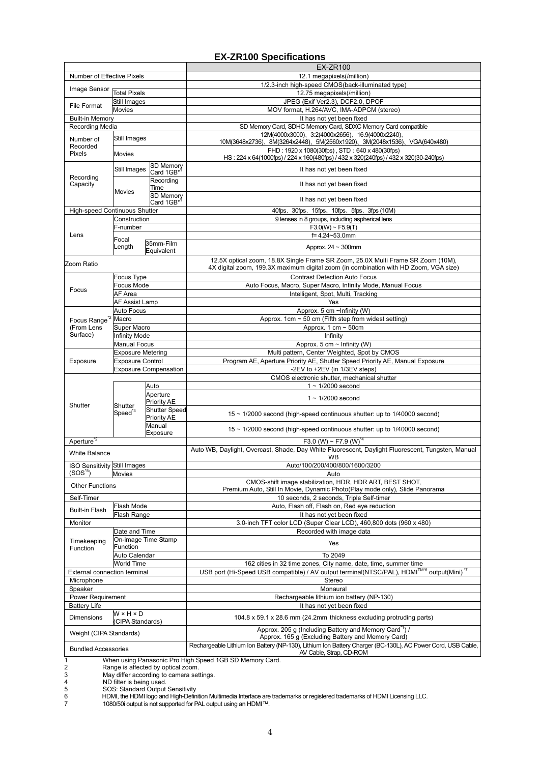# **EX-ZR100 Specifications**

|                                                                                          |                                               |                                     | <b>EX-ZR100</b>                                                                                                    |
|------------------------------------------------------------------------------------------|-----------------------------------------------|-------------------------------------|--------------------------------------------------------------------------------------------------------------------|
| Number of Effective Pixels                                                               |                                               |                                     | 12.1 megapixels(/million)                                                                                          |
| Image Sensor                                                                             |                                               |                                     | 1/2.3-inch high-speed CMOS(back-illuminated type)                                                                  |
|                                                                                          | <b>Total Pixels</b>                           |                                     | 12.75 megapixels(/million)                                                                                         |
| File Format                                                                              | Still Images                                  |                                     | JPEG (Exif Ver2.3), DCF2.0, DPOF                                                                                   |
|                                                                                          | <b>Movies</b>                                 |                                     | MOV format, H.264/AVC, IMA-ADPCM (stereo)                                                                          |
| <b>Built-in Memory</b>                                                                   |                                               |                                     | It has not yet been fixed                                                                                          |
| Recording Media                                                                          |                                               |                                     | SD Memory Card, SDHC Memory Card, SDXC Memory Card compatible<br>12M(4000x3000), 3:2(4000x2656), 16.9(4000x2240),  |
| Number of                                                                                | Still Images                                  |                                     | 10M(3648x2736)、8M(3264x2448)、5M(2560x1920)、3M(2048x1536)、VGA(640x480)                                              |
| Recorded<br>Pixels                                                                       |                                               |                                     | FHD: 1920 x 1080(30fps), STD: 640 x 480(30fps)                                                                     |
|                                                                                          | Movies                                        |                                     | HS: 224 x 64(1000fps) / 224 x 160(480fps) / 432 x 320(240fps) / 432 x 320(30-240fps)                               |
| Recording<br>Capacity                                                                    | Still Images                                  | SD Memory<br>Card 1GB*              | It has not yet been fixed                                                                                          |
|                                                                                          | Movies                                        | Recording                           |                                                                                                                    |
|                                                                                          |                                               | Time                                | It has not yet been fixed                                                                                          |
|                                                                                          |                                               | <b>SD Memory</b>                    | It has not yet been fixed                                                                                          |
|                                                                                          |                                               | Card 1GB*                           |                                                                                                                    |
|                                                                                          | High-speed Continuous Shutter<br>Construction |                                     | 40fps, 30fps, 15fps, 10fps, 5fps, 3fps (10M)                                                                       |
| Lens                                                                                     | F-number                                      |                                     | 9 lenses in 8 groups, including aspherical lens<br>$F3.0(W) \sim F5.9(T)$                                          |
|                                                                                          |                                               |                                     | f=4.24~53.0mm                                                                                                      |
|                                                                                          | Focal<br>35mm-Film                            |                                     |                                                                                                                    |
|                                                                                          | Length                                        | Equivalent                          | Approx. $24 \sim 300$ mm                                                                                           |
| Zoom Ratio                                                                               |                                               |                                     | 12.5X optical zoom, 18.8X Single Frame SR Zoom, 25.0X Multi Frame SR Zoom (10M),                                   |
|                                                                                          |                                               |                                     | 4X digital zoom, 199.3X maximum digital zoom (in combination with HD Zoom, VGA size)                               |
| Focus                                                                                    | Focus Type                                    |                                     | <b>Contrast Detection Auto Focus</b>                                                                               |
|                                                                                          | <b>Focus Mode</b>                             |                                     | Auto Focus, Macro, Super Macro, Infinity Mode, Manual Focus                                                        |
|                                                                                          | AF Area                                       |                                     | Intelligent, Spot, Multi, Tracking                                                                                 |
|                                                                                          | AF Assist Lamp                                |                                     | Yes                                                                                                                |
| Focus Range <sup>*2</sup><br>(From Lens<br>Surface)                                      | Auto Focus                                    |                                     | Approx. 5 cm ~Infinity (W)                                                                                         |
|                                                                                          | Macro                                         |                                     | Approx. 1cm ~ 50 cm (Fifth step from widest setting)<br>Approx. 1 cm $\sim$ 50cm                                   |
|                                                                                          | Super Macro<br><b>Infinity Mode</b>           |                                     | Infinity                                                                                                           |
|                                                                                          | <b>Manual Focus</b>                           |                                     | Approx. 5 cm $\sim$ Infinity (W)                                                                                   |
| Exposure                                                                                 | <b>Exposure Metering</b>                      |                                     | Multi pattern, Center Weighted, Spot by CMOS                                                                       |
|                                                                                          | <b>Exposure Control</b>                       |                                     | Program AE, Aperture Priority AE, Shutter Speed Priority AE, Manual Exposure                                       |
|                                                                                          | <b>Exposure Compensation</b>                  |                                     | -2EV to +2EV (in 1/3EV steps)                                                                                      |
| Shutter                                                                                  | Shutter<br>Speed <sup>*3</sup>                |                                     | CMOS electronic shutter, mechanical shutter                                                                        |
|                                                                                          |                                               | Auto                                | $1 \sim 1/2000$ second                                                                                             |
|                                                                                          |                                               | Aperture                            | $1 \sim 1/2000$ second                                                                                             |
|                                                                                          |                                               | Priority AE<br><b>Shutter Speed</b> |                                                                                                                    |
|                                                                                          |                                               | Priority AE                         | 15 ~ 1/2000 second (high-speed continuous shutter: up to 1/40000 second)                                           |
|                                                                                          |                                               | Manual                              |                                                                                                                    |
|                                                                                          |                                               | Exposure                            | $15 \sim 1/2000$ second (high-speed continuous shutter: up to $1/40000$ second)                                    |
| Aperture <sup>"2</sup>                                                                   |                                               |                                     | F3.0 (W) ~ F7.9 (W) <sup>*4</sup>                                                                                  |
| <b>White Balance</b>                                                                     |                                               |                                     | Auto WB, Daylight, Overcast, Shade, Day White Fluorescent, Daylight Fluorescent, Tungsten, Manual                  |
| <b>ISO Sensitivity Still Images</b>                                                      |                                               |                                     | WB<br>Auto/100/200/400/800/1600/3200                                                                               |
| $(SOS*)$<br>Movies                                                                       |                                               |                                     | Auto                                                                                                               |
|                                                                                          |                                               |                                     | CMOS-shift image stabilization, HDR, HDR ART, BEST SHOT,                                                           |
| <b>Other Functions</b>                                                                   |                                               |                                     | Premium Auto, Still In Movie, Dynamic Photo(Play mode only), Slide Panorama                                        |
| Self-Timer                                                                               |                                               |                                     | 10 seconds, 2 seconds, Triple Self-timer                                                                           |
| <b>Built-in Flash</b>                                                                    | Flash Mode                                    |                                     | Auto, Flash off, Flash on, Red eye reduction                                                                       |
|                                                                                          | Flash Range                                   |                                     | It has not yet been fixed                                                                                          |
| Monitor                                                                                  |                                               |                                     | 3.0-inch TFT color LCD (Super Clear LCD), 460,800 dots (960 x 480)                                                 |
| Timekeeping<br>Function                                                                  | Date and Time                                 |                                     | Recorded with image data                                                                                           |
|                                                                                          | On-image Time Stamp<br>Function               |                                     | Yes                                                                                                                |
|                                                                                          | Auto Calendar                                 |                                     | To 2049                                                                                                            |
|                                                                                          | World Time                                    |                                     | 162 cities in 32 time zones, City name, date, time, summer time                                                    |
| External connection terminal                                                             |                                               |                                     | USB port (Hi-Speed USB compatible) / AV output terminal(NTSC/PAL), HDMI <sup>TM*6</sup> output(Mini) <sup>*7</sup> |
| Microphone                                                                               |                                               |                                     | Stereo                                                                                                             |
| Speaker                                                                                  |                                               |                                     | Monaural                                                                                                           |
| Power Requirement                                                                        |                                               |                                     | Rechargeable lithium ion battery (NP-130)                                                                          |
| <b>Battery Life</b>                                                                      |                                               |                                     | It has not yet been fixed                                                                                          |
| <b>Dimensions</b>                                                                        | W×H×D                                         |                                     | 104.8 x 59.1 x 28.6 mm (24.2mm thickness excluding protruding parts)                                               |
|                                                                                          | CIPA Standards)                               |                                     | Approx. 205 g (Including Battery and Memory Card <sup>*1</sup> ) /                                                 |
| Weight (CIPA Standards)                                                                  |                                               |                                     | Approx. 165 g (Excluding Battery and Memory Card)                                                                  |
|                                                                                          |                                               |                                     | Rechargeable Lithium Ion Battery (NP-130), Lithium Ion Battery Charger (BC-130L), AC Power Cord, USB Cable,        |
| <b>Bundled Accessories</b>                                                               |                                               |                                     | AV Cable, Strap, CD-ROM                                                                                            |
|                                                                                          |                                               |                                     | When using Panasonic Pro High Speed 1GB SD Memory Card.                                                            |
| Range is affected by optical zoom.<br>2<br>3<br>May differ according to camera settings. |                                               |                                     |                                                                                                                    |

4 ND filter is being used.<br>5 SOS: Standard Output Sensitivity<br>6 HDMI, the HDMI logo and High-Definition Multimedia Interface are trademarks or registered trademarks of HDMI Licensing LLC.

7 1080/50i output is not supported for PAL output using an HDMI™.